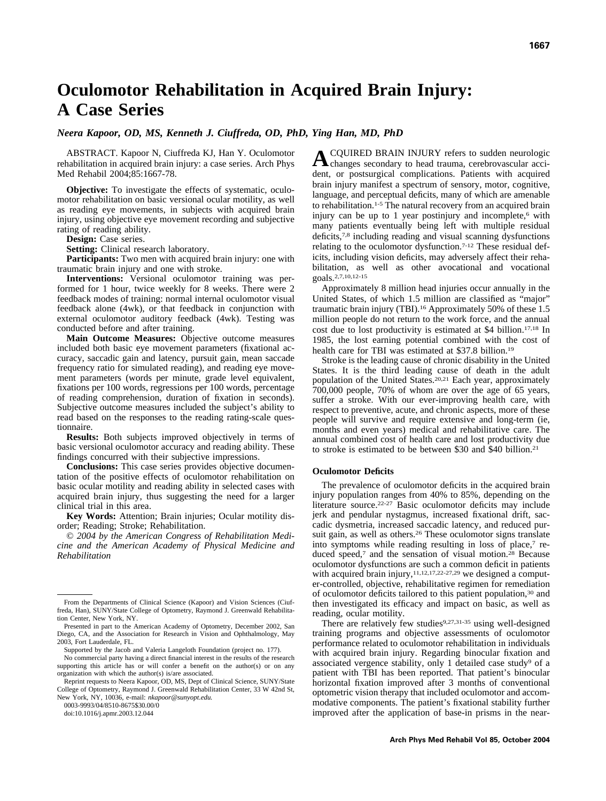# **Oculomotor Rehabilitation in Acquired Brain Injury: A Case Series**

*Neera Kapoor, OD, MS, Kenneth J. Ciuffreda, OD, PhD, Ying Han, MD, PhD*

ABSTRACT. Kapoor N, Ciuffreda KJ, Han Y. Oculomotor rehabilitation in acquired brain injury: a case series. Arch Phys Med Rehabil 2004;85:1667-78.

**Objective:** To investigate the effects of systematic, oculomotor rehabilitation on basic versional ocular motility, as well as reading eye movements, in subjects with acquired brain injury, using objective eye movement recording and subjective rating of reading ability.

**Design:** Case series.

**Setting:** Clinical research laboratory.

**Participants:** Two men with acquired brain injury: one with traumatic brain injury and one with stroke.

**Interventions:** Versional oculomotor training was performed for 1 hour, twice weekly for 8 weeks. There were 2 feedback modes of training: normal internal oculomotor visual feedback alone (4wk), or that feedback in conjunction with external oculomotor auditory feedback (4wk). Testing was conducted before and after training.

**Main Outcome Measures:** Objective outcome measures included both basic eye movement parameters (fixational accuracy, saccadic gain and latency, pursuit gain, mean saccade frequency ratio for simulated reading), and reading eye movement parameters (words per minute, grade level equivalent, fixations per 100 words, regressions per 100 words, percentage of reading comprehension, duration of fixation in seconds). Subjective outcome measures included the subject's ability to read based on the responses to the reading rating-scale questionnaire.

**Results:** Both subjects improved objectively in terms of basic versional oculomotor accuracy and reading ability. These findings concurred with their subjective impressions.

**Conclusions:** This case series provides objective documentation of the positive effects of oculomotor rehabilitation on basic ocular motility and reading ability in selected cases with acquired brain injury, thus suggesting the need for a larger clinical trial in this area.

**Key Words:** Attention; Brain injuries; Ocular motility disorder; Reading; Stroke; Rehabilitation.

© *2004 by the American Congress of Rehabilitation Medicine and the American Academy of Physical Medicine and Rehabilitation*

No commercial party having a direct financial interest in the results of the research supporting this article has or will confer a benefit on the author(s) or on any organization with which the author(s) is/are associated.

0003-9993/04/8510-8675\$30.00/0

doi:10.1016/j.apmr.2003.12.044

**A** CQUIRED BRAIN INJURY refers to sudden neurologic changes secondary to head trauma, cerebrovascular accident, or postsurgical complications. Patients with acquired brain injury manifest a spectrum of sensory, motor, cognitive, language, and perceptual deficits, many of which are amenable to rehabilitation.<sup>1-5</sup> The natural recovery from an acquired brain injury can be up to 1 year postinjury and incomplete,<sup>6</sup> with many patients eventually being left with multiple residual deficits,7,8 including reading and visual scanning dysfunctions relating to the oculomotor dysfunction.7-12 These residual deficits, including vision deficits, may adversely affect their rehabilitation, as well as other avocational and vocational goals.2,7,10,12-15

Approximately 8 million head injuries occur annually in the United States, of which 1.5 million are classified as "major" traumatic brain injury (TBI).16 Approximately 50% of these 1.5 million people do not return to the work force, and the annual cost due to lost productivity is estimated at \$4 billion.17,18 In 1985, the lost earning potential combined with the cost of health care for TBI was estimated at \$37.8 billion.<sup>19</sup>

Stroke is the leading cause of chronic disability in the United States. It is the third leading cause of death in the adult population of the United States.<sup>20,21</sup> Each year, approximately 700,000 people, 70% of whom are over the age of 65 years, suffer a stroke. With our ever-improving health care, with respect to preventive, acute, and chronic aspects, more of these people will survive and require extensive and long-term (ie, months and even years) medical and rehabilitative care. The annual combined cost of health care and lost productivity due to stroke is estimated to be between \$30 and \$40 billion.21

## **Oculomotor Deficits**

The prevalence of oculomotor deficits in the acquired brain injury population ranges from 40% to 85%, depending on the literature source.<sup>22-27</sup> Basic oculomotor deficits may include jerk and pendular nystagmus, increased fixational drift, saccadic dysmetria, increased saccadic latency, and reduced pursuit gain, as well as others.<sup>26</sup> These oculomotor signs translate into symptoms while reading resulting in loss of place,<sup>7</sup> reduced speed,<sup>7</sup> and the sensation of visual motion.<sup>28</sup> Because oculomotor dysfunctions are such a common deficit in patients with acquired brain injury,<sup>11,12,17,22-27,29</sup> we designed a computer-controlled, objective, rehabilitative regimen for remediation of oculomotor deficits tailored to this patient population,30 and then investigated its efficacy and impact on basic, as well as reading, ocular motility.

There are relatively few studies $9,27,31-35$  using well-designed training programs and objective assessments of oculomotor performance related to oculomotor rehabilitation in individuals with acquired brain injury. Regarding binocular fixation and associated vergence stability, only 1 detailed case study9 of a patient with TBI has been reported. That patient's binocular horizontal fixation improved after 3 months of conventional optometric vision therapy that included oculomotor and accommodative components. The patient's fixational stability further improved after the application of base-in prisms in the near-

From the Departments of Clinical Science (Kapoor) and Vision Sciences (Ciuffreda, Han), SUNY/State College of Optometry, Raymond J. Greenwald Rehabilitation Center, New York, NY.

Presented in part to the American Academy of Optometry, December 2002, San Diego, CA, and the Association for Research in Vision and Ophthalmology, May 2003, Fort Lauderdale, FL.

Supported by the Jacob and Valeria Langeloth Foundation (project no. 177).

Reprint requests to Neera Kapoor, OD, MS, Dept of Clinical Science, SUNY/State College of Optometry, Raymond J. Greenwald Rehabilitation Center, 33 W 42nd St, New York, NY, 10036, e-mail: *nkapoor@sunyopt.edu.*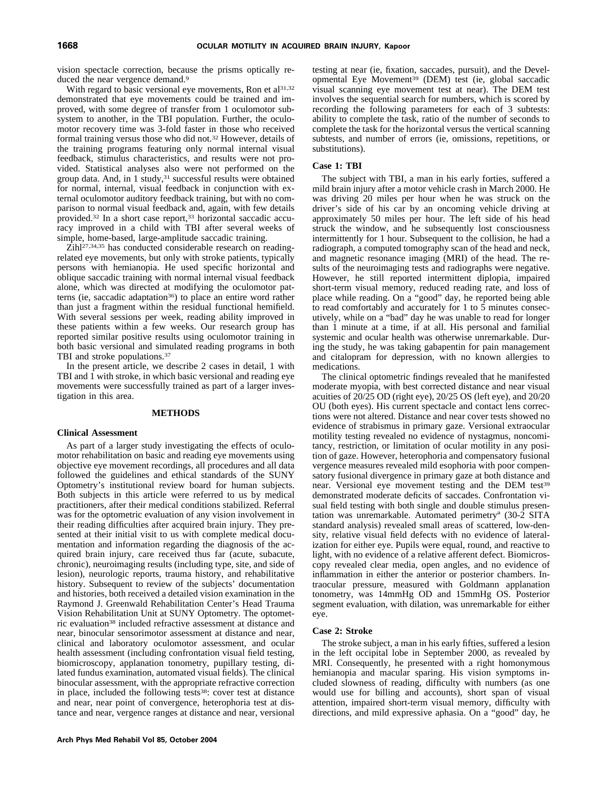vision spectacle correction, because the prisms optically reduced the near vergence demand.<sup>9</sup>

With regard to basic versional eye movements, Ron et al<sup>31,32</sup> demonstrated that eye movements could be trained and improved, with some degree of transfer from 1 oculomotor subsystem to another, in the TBI population. Further, the oculomotor recovery time was 3-fold faster in those who received formal training versus those who did not.32 However, details of the training programs featuring only normal internal visual feedback, stimulus characteristics, and results were not provided. Statistical analyses also were not performed on the group data. And, in  $1 \text{ study},^{31}$  successful results were obtained for normal, internal, visual feedback in conjunction with external oculomotor auditory feedback training, but with no comparison to normal visual feedback and, again, with few details provided.<sup>32</sup> In a short case report,<sup>33</sup> horizontal saccadic accuracy improved in a child with TBI after several weeks of simple, home-based, large-amplitude saccadic training.

Zihl27,34,35 has conducted considerable research on readingrelated eye movements, but only with stroke patients, typically persons with hemianopia. He used specific horizontal and oblique saccadic training with normal internal visual feedback alone, which was directed at modifying the oculomotor patterns (ie, saccadic adaptation<sup>36</sup>) to place an entire word rather than just a fragment within the residual functional hemifield. With several sessions per week, reading ability improved in these patients within a few weeks. Our research group has reported similar positive results using oculomotor training in both basic versional and simulated reading programs in both TBI and stroke populations.<sup>37</sup>

In the present article, we describe 2 cases in detail, 1 with TBI and 1 with stroke, in which basic versional and reading eye movements were successfully trained as part of a larger investigation in this area.

## **METHODS**

### **Clinical Assessment**

As part of a larger study investigating the effects of oculomotor rehabilitation on basic and reading eye movements using objective eye movement recordings, all procedures and all data followed the guidelines and ethical standards of the SUNY Optometry's institutional review board for human subjects. Both subjects in this article were referred to us by medical practitioners, after their medical conditions stabilized. Referral was for the optometric evaluation of any vision involvement in their reading difficulties after acquired brain injury. They presented at their initial visit to us with complete medical documentation and information regarding the diagnosis of the acquired brain injury, care received thus far (acute, subacute, chronic), neuroimaging results (including type, site, and side of lesion), neurologic reports, trauma history, and rehabilitative history. Subsequent to review of the subjects' documentation and histories, both received a detailed vision examination in the Raymond J. Greenwald Rehabilitation Center's Head Trauma Vision Rehabilitation Unit at SUNY Optometry. The optometric evaluation38 included refractive assessment at distance and near, binocular sensorimotor assessment at distance and near, clinical and laboratory oculomotor assessment, and ocular health assessment (including confrontation visual field testing, biomicroscopy, applanation tonometry, pupillary testing, dilated fundus examination, automated visual fields). The clinical binocular assessment, with the appropriate refractive correction in place, included the following tests<sup>38</sup>: cover test at distance and near, near point of convergence, heterophoria test at distance and near, vergence ranges at distance and near, versional

testing at near (ie, fixation, saccades, pursuit), and the Developmental Eye Movement39 (DEM) test (ie, global saccadic visual scanning eye movement test at near). The DEM test involves the sequential search for numbers, which is scored by recording the following parameters for each of 3 subtests: ability to complete the task, ratio of the number of seconds to complete the task for the horizontal versus the vertical scanning subtests, and number of errors (ie, omissions, repetitions, or substitutions).

# **Case 1: TBI**

The subject with TBI, a man in his early forties, suffered a mild brain injury after a motor vehicle crash in March 2000. He was driving 20 miles per hour when he was struck on the driver's side of his car by an oncoming vehicle driving at approximately 50 miles per hour. The left side of his head struck the window, and he subsequently lost consciousness intermittently for 1 hour. Subsequent to the collision, he had a radiograph, a computed tomography scan of the head and neck, and magnetic resonance imaging (MRI) of the head. The results of the neuroimaging tests and radiographs were negative. However, he still reported intermittent diplopia, impaired short-term visual memory, reduced reading rate, and loss of place while reading. On a "good" day, he reported being able to read comfortably and accurately for 1 to 5 minutes consecutively, while on a "bad" day he was unable to read for longer than 1 minute at a time, if at all. His personal and familial systemic and ocular health was otherwise unremarkable. During the study, he was taking gabapentin for pain management and citalopram for depression, with no known allergies to medications.

The clinical optometric findings revealed that he manifested moderate myopia, with best corrected distance and near visual acuities of 20/25 OD (right eye), 20/25 OS (left eye), and 20/20 OU (both eyes). His current spectacle and contact lens corrections were not altered. Distance and near cover tests showed no evidence of strabismus in primary gaze. Versional extraocular motility testing revealed no evidence of nystagmus, noncomitancy, restriction, or limitation of ocular motility in any position of gaze. However, heterophoria and compensatory fusional vergence measures revealed mild esophoria with poor compensatory fusional divergence in primary gaze at both distance and near. Versional eye movement testing and the DEM test<sup>39</sup> demonstrated moderate deficits of saccades. Confrontation visual field testing with both single and double stimulus presentation was unremarkable. Automated perimetry<sup>a</sup> (30-2 SITA standard analysis) revealed small areas of scattered, low-density, relative visual field defects with no evidence of lateralization for either eye. Pupils were equal, round, and reactive to light, with no evidence of a relative afferent defect. Biomicroscopy revealed clear media, open angles, and no evidence of inflammation in either the anterior or posterior chambers. Intraocular pressure, measured with Goldmann applanation tonometry, was 14mmHg OD and 15mmHg OS. Posterior segment evaluation, with dilation, was unremarkable for either eye.

## **Case 2: Stroke**

The stroke subject, a man in his early fifties, suffered a lesion in the left occipital lobe in September 2000, as revealed by MRI. Consequently, he presented with a right homonymous hemianopia and macular sparing. His vision symptoms included slowness of reading, difficulty with numbers (as one would use for billing and accounts), short span of visual attention, impaired short-term visual memory, difficulty with directions, and mild expressive aphasia. On a "good" day, he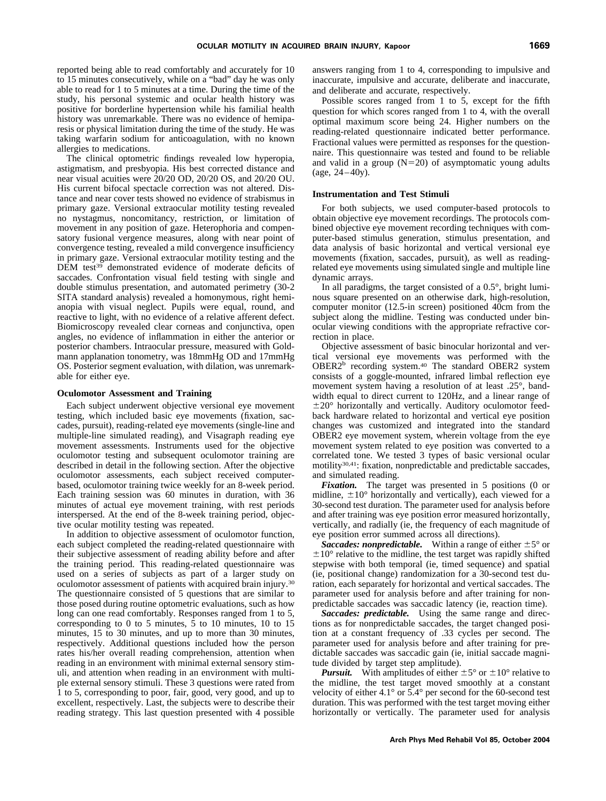reported being able to read comfortably and accurately for 10 to 15 minutes consecutively, while on a "bad" day he was only able to read for 1 to 5 minutes at a time. During the time of the study, his personal systemic and ocular health history was positive for borderline hypertension while his familial health history was unremarkable. There was no evidence of hemiparesis or physical limitation during the time of the study. He was taking warfarin sodium for anticoagulation, with no known allergies to medications.

The clinical optometric findings revealed low hyperopia, astigmatism, and presbyopia. His best corrected distance and near visual acuities were 20/20 OD, 20/20 OS, and 20/20 OU. His current bifocal spectacle correction was not altered. Distance and near cover tests showed no evidence of strabismus in primary gaze. Versional extraocular motility testing revealed no nystagmus, noncomitancy, restriction, or limitation of movement in any position of gaze. Heterophoria and compensatory fusional vergence measures, along with near point of convergence testing, revealed a mild convergence insufficiency in primary gaze. Versional extraocular motility testing and the DEM test<sup>39</sup> demonstrated evidence of moderate deficits of saccades. Confrontation visual field testing with single and double stimulus presentation, and automated perimetry (30-2 SITA standard analysis) revealed a homonymous, right hemianopia with visual neglect. Pupils were equal, round, and reactive to light, with no evidence of a relative afferent defect. Biomicroscopy revealed clear corneas and conjunctiva, open angles, no evidence of inflammation in either the anterior or posterior chambers. Intraocular pressure, measured with Goldmann applanation tonometry, was 18mmHg OD and 17mmHg OS. Posterior segment evaluation, with dilation, was unremarkable for either eye.

## **Oculomotor Assessment and Training**

Each subject underwent objective versional eye movement testing, which included basic eye movements (fixation, saccades, pursuit), reading-related eye movements (single-line and multiple-line simulated reading), and Visagraph reading eye movement assessments. Instruments used for the objective oculomotor testing and subsequent oculomotor training are described in detail in the following section. After the objective oculomotor assessments, each subject received computerbased, oculomotor training twice weekly for an 8-week period. Each training session was 60 minutes in duration, with 36 minutes of actual eye movement training, with rest periods interspersed. At the end of the 8-week training period, objective ocular motility testing was repeated.

In addition to objective assessment of oculomotor function, each subject completed the reading-related questionnaire with their subjective assessment of reading ability before and after the training period. This reading-related questionnaire was used on a series of subjects as part of a larger study on oculomotor assessment of patients with acquired brain injury.30 The questionnaire consisted of 5 questions that are similar to those posed during routine optometric evaluations, such as how long can one read comfortably. Responses ranged from 1 to 5, corresponding to 0 to 5 minutes, 5 to 10 minutes, 10 to 15 minutes, 15 to 30 minutes, and up to more than 30 minutes, respectively. Additional questions included how the person rates his/her overall reading comprehension, attention when reading in an environment with minimal external sensory stimuli, and attention when reading in an environment with multiple external sensory stimuli. These 3 questions were rated from 1 to 5, corresponding to poor, fair, good, very good, and up to excellent, respectively. Last, the subjects were to describe their reading strategy. This last question presented with 4 possible

answers ranging from 1 to 4, corresponding to impulsive and inaccurate, impulsive and accurate, deliberate and inaccurate, and deliberate and accurate, respectively.

Possible scores ranged from 1 to 5, except for the fifth question for which scores ranged from 1 to 4, with the overall optimal maximum score being 24. Higher numbers on the reading-related questionnaire indicated better performance. Fractional values were permitted as responses for the questionnaire. This questionnaire was tested and found to be reliable and valid in a group  $(N=20)$  of asymptomatic young adults (age, 24–40y).

## **Instrumentation and Test Stimuli**

For both subjects, we used computer-based protocols to obtain objective eye movement recordings. The protocols combined objective eye movement recording techniques with computer-based stimulus generation, stimulus presentation, and data analysis of basic horizontal and vertical versional eye movements (fixation, saccades, pursuit), as well as readingrelated eye movements using simulated single and multiple line dynamic arrays.

In all paradigms, the target consisted of a 0.5°, bright luminous square presented on an otherwise dark, high-resolution, computer monitor (12.5-in screen) positioned 40cm from the subject along the midline. Testing was conducted under binocular viewing conditions with the appropriate refractive correction in place.

Objective assessment of basic binocular horizontal and vertical versional eye movements was performed with the  $OBER2<sup>b</sup>$  recording system.<sup>40</sup> The standard OBER2 system consists of a goggle-mounted, infrared limbal reflection eye movement system having a resolution of at least .25°, bandwidth equal to direct current to 120Hz, and a linear range of  $\pm 20^{\circ}$  horizontally and vertically. Auditory oculomotor feedback hardware related to horizontal and vertical eye position changes was customized and integrated into the standard OBER2 eye movement system, wherein voltage from the eye movement system related to eye position was converted to a correlated tone. We tested 3 types of basic versional ocular motility<sup>30,41</sup>: fixation, nonpredictable and predictable saccades, and simulated reading.

*Fixation.* The target was presented in 5 positions (0 or midline,  $\pm 10^{\circ}$  horizontally and vertically), each viewed for a 30-second test duration. The parameter used for analysis before and after training was eye position error measured horizontally, vertically, and radially (ie, the frequency of each magnitude of eye position error summed across all directions).

**Saccades:** nonpredictable. Within a range of either  $\pm 5^{\circ}$  or  $\pm 10^{\circ}$  relative to the midline, the test target was rapidly shifted stepwise with both temporal (ie, timed sequence) and spatial (ie, positional change) randomization for a 30-second test duration, each separately for horizontal and vertical saccades. The parameter used for analysis before and after training for nonpredictable saccades was saccadic latency (ie, reaction time).

*Saccades: predictable.* Using the same range and directions as for nonpredictable saccades, the target changed position at a constant frequency of .33 cycles per second. The parameter used for analysis before and after training for predictable saccades was saccadic gain (ie, initial saccade magnitude divided by target step amplitude).

**Pursuit.** With amplitudes of either  $\pm 5^{\circ}$  or  $\pm 10^{\circ}$  relative to the midline, the test target moved smoothly at a constant velocity of either 4.1° or 5.4° per second for the 60-second test duration. This was performed with the test target moving either horizontally or vertically. The parameter used for analysis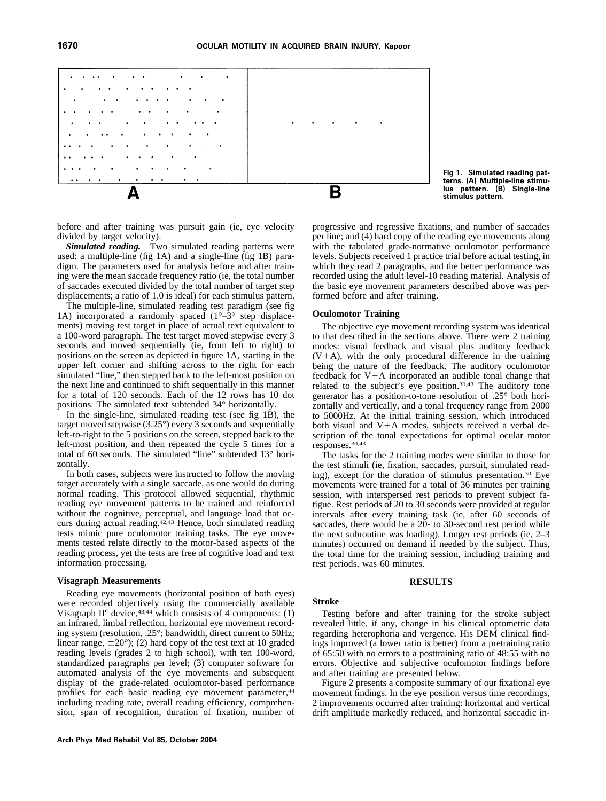

before and after training was pursuit gain (ie, eye velocity divided by target velocity).

*Simulated reading.* Two simulated reading patterns were used: a multiple-line (fig 1A) and a single-line (fig 1B) paradigm. The parameters used for analysis before and after training were the mean saccade frequency ratio (ie, the total number of saccades executed divided by the total number of target step displacements; a ratio of 1.0 is ideal) for each stimulus pattern.

The multiple-line, simulated reading test paradigm (see fig 1A) incorporated a randomly spaced  $(1^\circ - 3^\circ)$  step displacements) moving test target in place of actual text equivalent to a 100-word paragraph. The test target moved stepwise every 3 seconds and moved sequentially (ie, from left to right) to positions on the screen as depicted in figure 1A, starting in the upper left corner and shifting across to the right for each simulated "line," then stepped back to the left-most position on the next line and continued to shift sequentially in this manner for a total of 120 seconds. Each of the 12 rows has 10 dot positions. The simulated text subtended 34° horizontally.

In the single-line, simulated reading test (see fig 1B), the target moved stepwise (3.25°) every 3 seconds and sequentially left-to-right to the 5 positions on the screen, stepped back to the left-most position, and then repeated the cycle 5 times for a total of 60 seconds. The simulated "line" subtended 13° horizontally.

In both cases, subjects were instructed to follow the moving target accurately with a single saccade, as one would do during normal reading. This protocol allowed sequential, rhythmic reading eye movement patterns to be trained and reinforced without the cognitive, perceptual, and language load that occurs during actual reading.42,43 Hence, both simulated reading tests mimic pure oculomotor training tasks. The eye movements tested relate directly to the motor-based aspects of the reading process, yet the tests are free of cognitive load and text information processing.

## **Visagraph Measurements**

Reading eye movements (horizontal position of both eyes) were recorded objectively using the commercially available Visagraph II<sup>c</sup> device,  $43,44$  which consists of 4 components: (1) an infrared, limbal reflection, horizontal eye movement recording system (resolution, .25°; bandwidth, direct current to 50Hz; linear range,  $\pm 20^{\circ}$ ); (2) hard copy of the test text at 10 graded reading levels (grades 2 to high school), with ten 100-word, standardized paragraphs per level; (3) computer software for automated analysis of the eye movements and subsequent display of the grade-related oculomotor-based performance profiles for each basic reading eye movement parameter,<sup>44</sup> including reading rate, overall reading efficiency, comprehension, span of recognition, duration of fixation, number of progressive and regressive fixations, and number of saccades per line; and (4) hard copy of the reading eye movements along with the tabulated grade-normative oculomotor performance levels. Subjects received 1 practice trial before actual testing, in which they read 2 paragraphs, and the better performance was recorded using the adult level-10 reading material. Analysis of the basic eye movement parameters described above was performed before and after training.

## **Oculomotor Training**

The objective eye movement recording system was identical to that described in the sections above. There were 2 training modes: visual feedback and visual plus auditory feedback  $(V+A)$ , with the only procedural difference in the training being the nature of the feedback. The auditory oculomotor feedback for  $V+A$  incorporated an audible tonal change that related to the subject's eye position.30,43 The auditory tone generator has a position-to-tone resolution of .25° both horizontally and vertically, and a tonal frequency range from 2000 to 5000Hz. At the initial training session, which introduced both visual and  $V+A$  modes, subjects received a verbal description of the tonal expectations for optimal ocular motor responses.30,43

The tasks for the 2 training modes were similar to those for the test stimuli (ie, fixation, saccades, pursuit, simulated reading), except for the duration of stimulus presentation.30 Eye movements were trained for a total of 36 minutes per training session, with interspersed rest periods to prevent subject fatigue. Rest periods of 20 to 30 seconds were provided at regular intervals after every training task (ie, after 60 seconds of saccades, there would be a 20- to 30-second rest period while the next subroutine was loading). Longer rest periods (ie, 2–3 minutes) occurred on demand if needed by the subject. Thus, the total time for the training session, including training and rest periods, was 60 minutes.

## **RESULTS**

# **Stroke**

Testing before and after training for the stroke subject revealed little, if any, change in his clinical optometric data regarding heterophoria and vergence. His DEM clinical findings improved (a lower ratio is better) from a pretraining ratio of 65:50 with no errors to a posttraining ratio of 48:55 with no errors. Objective and subjective oculomotor findings before and after training are presented below.

Figure 2 presents a composite summary of our fixational eye movement findings. In the eye position versus time recordings, 2 improvements occurred after training: horizontal and vertical drift amplitude markedly reduced, and horizontal saccadic in-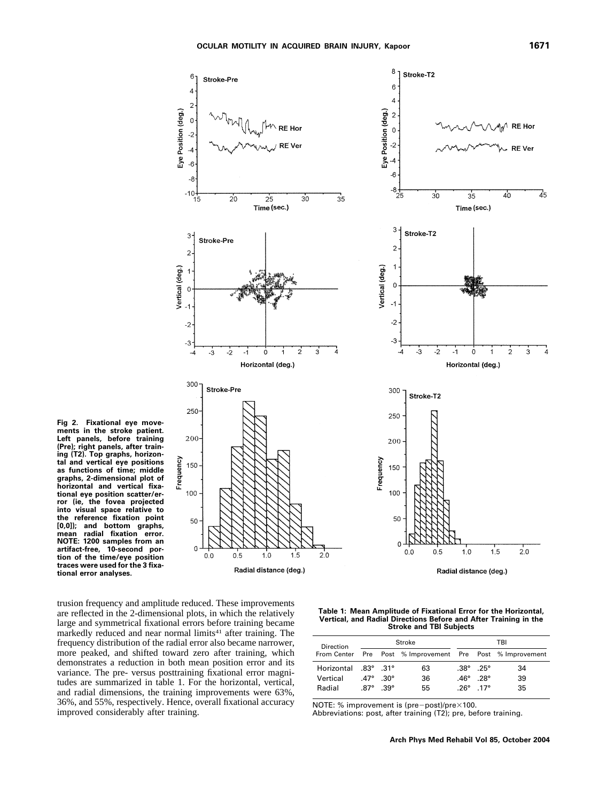

**Fig 2. Fixational eye movements in the stroke patient. Left panels, before training (Pre); right panels, after training (T2). Top graphs, horizontal and vertical eye positions as functions of time; middle graphs, 2-dimensional plot of horizontal and vertical fixational eye position scatter/error (ie, the fovea projected into visual space relative to the reference fixation point [0,0]); and bottom graphs, mean radial fixation error. NOTE: 1200 samples from an artifact-free, 10-second portion of the time/eye position traces were used for the 3 fixational error analyses.**

trusion frequency and amplitude reduced. These improvements are reflected in the 2-dimensional plots, in which the relatively large and symmetrical fixational errors before training became markedly reduced and near normal limits<sup>41</sup> after training. The frequency distribution of the radial error also became narrower, more peaked, and shifted toward zero after training, which demonstrates a reduction in both mean position error and its variance. The pre- versus posttraining fixational error magnitudes are summarized in table 1. For the horizontal, vertical, and radial dimensions, the training improvements were 63%, 36%, and 55%, respectively. Hence, overall fixational accuracy improved considerably after training.

**Table 1: Mean Amplitude of Fixational Error for the Horizontal, Vertical, and Radial Directions Before and After Training in the Stroke and TBI Subjects**

| Direction            | Stroke                  |  |                                                           | TBI |                         |    |  |
|----------------------|-------------------------|--|-----------------------------------------------------------|-----|-------------------------|----|--|
|                      |                         |  | From Center Pre Post % Improvement Pre Post % Improvement |     |                         |    |  |
| 31°. Borizontal .83° |                         |  | 63                                                        |     | $.38^\circ$ $.25^\circ$ | 34 |  |
| Vertical             | $.47^\circ$ $.30^\circ$ |  | 36                                                        |     | $.46^\circ$ $.28^\circ$ | 39 |  |
| Radial               | $.87^\circ$ $.39^\circ$ |  | 55                                                        |     | $.26^\circ$ $.17^\circ$ | 35 |  |

NOTE: % improvement is (pre-post)/pre $\times$ 100.

Abbreviations: post, after training (T2); pre, before training.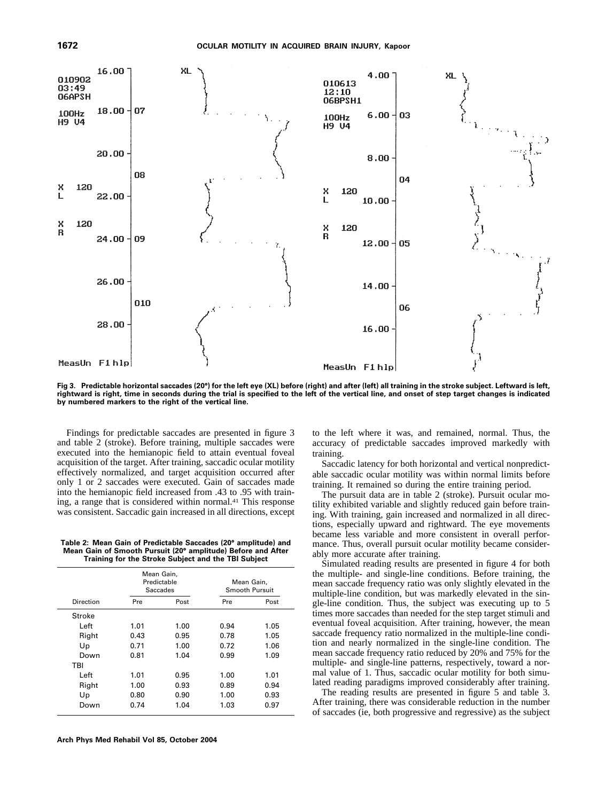

**Fig 3. Predictable horizontal saccades (20°) for the left eye (XL) before (right) and after (left) all training in the stroke subject. Leftward is left, rightward is right, time in seconds during the trial is specified to the left of the vertical line, and onset of step target changes is indicated by numbered markers to the right of the vertical line.**

Findings for predictable saccades are presented in figure 3 and table 2 (stroke). Before training, multiple saccades were executed into the hemianopic field to attain eventual foveal acquisition of the target. After training, saccadic ocular motility effectively normalized, and target acquisition occurred after only 1 or 2 saccades were executed. Gain of saccades made into the hemianopic field increased from .43 to .95 with training, a range that is considered within normal.41 This response was consistent. Saccadic gain increased in all directions, except

**Table 2: Mean Gain of Predictable Saccades (20° amplitude) and Mean Gain of Smooth Pursuit (20° amplitude) Before and After Training for the Stroke Subject and the TBI Subject**

|            | Mean Gain,<br>Saccades | Predictable |      | Mean Gain,<br>Smooth Pursuit |
|------------|------------------------|-------------|------|------------------------------|
| Direction  | Pre                    | Post        | Pre  | Post                         |
| Stroke     |                        |             |      |                              |
| Left       | 1.01                   | 1.00        | 0.94 | 1.05                         |
| Right      | 0.43                   | 0.95        | 0.78 | 1.05                         |
| Up         | 0.71                   | 1.00        | 0.72 | 1.06                         |
| Down       | 0.81                   | 1.04        | 0.99 | 1.09                         |
| <b>TRI</b> |                        |             |      |                              |
| Left       | 1.01                   | 0.95        | 1.00 | 1.01                         |
| Right      | 1.00                   | 0.93        | 0.89 | 0.94                         |
| Up         | 0.80                   | 0.90        | 1.00 | 0.93                         |
| Down       | 0.74                   | 1.04        | 1.03 | 0.97                         |

to the left where it was, and remained, normal. Thus, the accuracy of predictable saccades improved markedly with training.

Saccadic latency for both horizontal and vertical nonpredictable saccadic ocular motility was within normal limits before training. It remained so during the entire training period.

The pursuit data are in table 2 (stroke). Pursuit ocular motility exhibited variable and slightly reduced gain before training. With training, gain increased and normalized in all directions, especially upward and rightward. The eye movements became less variable and more consistent in overall performance. Thus, overall pursuit ocular motility became considerably more accurate after training.

Simulated reading results are presented in figure 4 for both the multiple- and single-line conditions. Before training, the mean saccade frequency ratio was only slightly elevated in the multiple-line condition, but was markedly elevated in the single-line condition. Thus, the subject was executing up to 5 times more saccades than needed for the step target stimuli and eventual foveal acquisition. After training, however, the mean saccade frequency ratio normalized in the multiple-line condition and nearly normalized in the single-line condition. The mean saccade frequency ratio reduced by 20% and 75% for the multiple- and single-line patterns, respectively, toward a normal value of 1. Thus, saccadic ocular motility for both simulated reading paradigms improved considerably after training.

The reading results are presented in figure 5 and table 3. After training, there was considerable reduction in the number of saccades (ie, both progressive and regressive) as the subject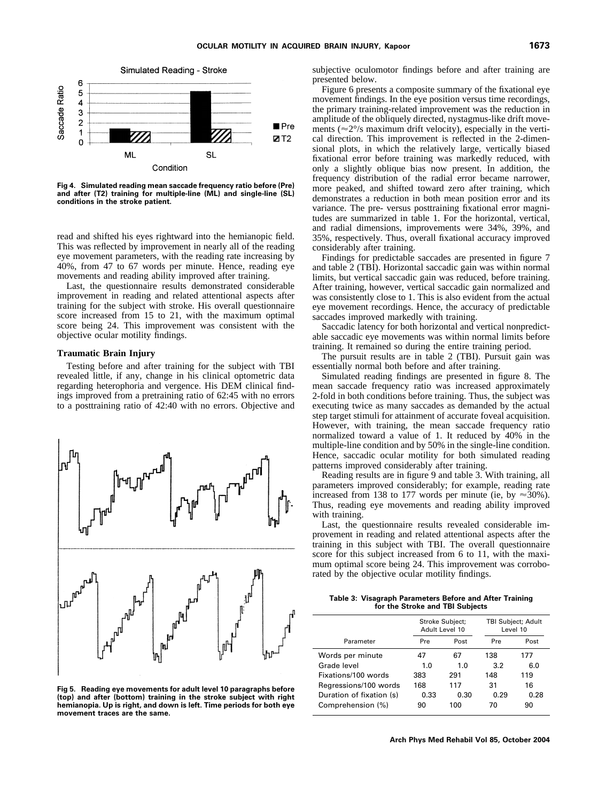

**Fig 4. Simulated reading mean saccade frequency ratio before (Pre) and after (T2) training for multiple-line (ML) and single-line (SL) conditions in the stroke patient.**

read and shifted his eyes rightward into the hemianopic field. This was reflected by improvement in nearly all of the reading eye movement parameters, with the reading rate increasing by 40%, from 47 to 67 words per minute. Hence, reading eye movements and reading ability improved after training.

Last, the questionnaire results demonstrated considerable improvement in reading and related attentional aspects after training for the subject with stroke. His overall questionnaire score increased from 15 to 21, with the maximum optimal score being 24. This improvement was consistent with the objective ocular motility findings.

## **Traumatic Brain Injury**

Testing before and after training for the subject with TBI revealed little, if any, change in his clinical optometric data regarding heterophoria and vergence. His DEM clinical findings improved from a pretraining ratio of 62:45 with no errors to a posttraining ratio of 42:40 with no errors. Objective and



**Fig 5. Reading eye movements for adult level 10 paragraphs before (top) and after (bottom) training in the stroke subject with right hemianopia. Up is right, and down is left. Time periods for both eye movement traces are the same.**

subjective oculomotor findings before and after training are presented below.

Figure 6 presents a composite summary of the fixational eye movement findings. In the eye position versus time recordings, the primary training-related improvement was the reduction in amplitude of the obliquely directed, nystagmus-like drift movements ( $\approx$ 2°/s maximum drift velocity), especially in the vertical direction. This improvement is reflected in the 2-dimensional plots, in which the relatively large, vertically biased fixational error before training was markedly reduced, with only a slightly oblique bias now present. In addition, the frequency distribution of the radial error became narrower, more peaked, and shifted toward zero after training, which demonstrates a reduction in both mean position error and its variance. The pre- versus posttraining fixational error magnitudes are summarized in table 1. For the horizontal, vertical, and radial dimensions, improvements were 34%, 39%, and 35%, respectively. Thus, overall fixational accuracy improved considerably after training.

Findings for predictable saccades are presented in figure 7 and table 2 (TBI). Horizontal saccadic gain was within normal limits, but vertical saccadic gain was reduced, before training. After training, however, vertical saccadic gain normalized and was consistently close to 1. This is also evident from the actual eye movement recordings. Hence, the accuracy of predictable saccades improved markedly with training.

Saccadic latency for both horizontal and vertical nonpredictable saccadic eye movements was within normal limits before training. It remained so during the entire training period.

The pursuit results are in table 2 (TBI). Pursuit gain was essentially normal both before and after training.

Simulated reading findings are presented in figure 8. The mean saccade frequency ratio was increased approximately 2-fold in both conditions before training. Thus, the subject was executing twice as many saccades as demanded by the actual step target stimuli for attainment of accurate foveal acquisition. However, with training, the mean saccade frequency ratio normalized toward a value of 1. It reduced by 40% in the multiple-line condition and by 50% in the single-line condition. Hence, saccadic ocular motility for both simulated reading patterns improved considerably after training.

Reading results are in figure 9 and table 3. With training, all parameters improved considerably; for example, reading rate increased from 138 to 177 words per minute (ie, by  $\approx 30\%$ ). Thus, reading eye movements and reading ability improved with training.

Last, the questionnaire results revealed considerable improvement in reading and related attentional aspects after the training in this subject with TBI. The overall questionnaire score for this subject increased from 6 to 11, with the maximum optimal score being 24. This improvement was corroborated by the objective ocular motility findings.

**Table 3: Visagraph Parameters Before and After Training for the Stroke and TBI Subjects**

|                          | <b>Stroke Subject;</b><br>Adult Level 10 |      | <b>TBI Subject; Adult</b><br>Level 10 |      |
|--------------------------|------------------------------------------|------|---------------------------------------|------|
| Parameter                | Pre                                      | Post | Pre                                   | Post |
| Words per minute         | 47                                       | 67   | 138                                   | 177  |
| Grade level              | 1.0                                      | 1.0  | 3.2                                   | 6.0  |
| Fixations/100 words      | 383                                      | 291  | 148                                   | 119  |
| Regressions/100 words    | 168                                      | 117  | 31                                    | 16   |
| Duration of fixation (s) | 0.33                                     | 0.30 | 0.29                                  | 0.28 |
| Comprehension (%)        | 90                                       | 100  | 70                                    | 90   |
|                          |                                          |      |                                       |      |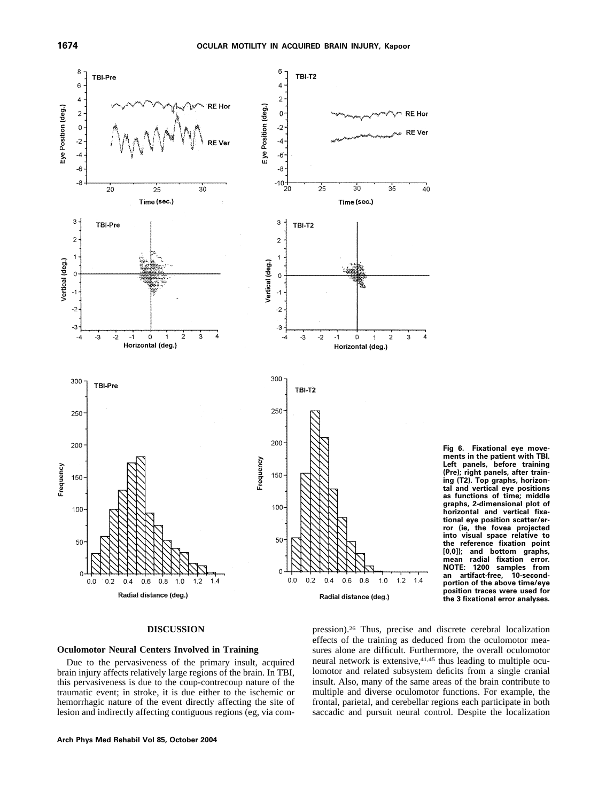

**Fig 6. Fixational eye movements in the patient with TBI. Left panels, before training (Pre); right panels, after training (T2). Top graphs, horizontal and vertical eye positions as functions of time; middle graphs, 2-dimensional plot of horizontal and vertical fixational eye position scatter/error (ie, the fovea projected into visual space relative to the reference fixation point [0,0]); and bottom graphs, mean radial fixation error. NOTE: 1200 samples from an artifact-free, 10-secondportion of the above time/eye position traces were used for the 3 fixational error analyses.**

# **DISCUSSION**

# **Oculomotor Neural Centers Involved in Training**

Due to the pervasiveness of the primary insult, acquired brain injury affects relatively large regions of the brain. In TBI, this pervasiveness is due to the coup-contrecoup nature of the traumatic event; in stroke, it is due either to the ischemic or hemorrhagic nature of the event directly affecting the site of lesion and indirectly affecting contiguous regions (eg, via com-

pression).26 Thus, precise and discrete cerebral localization effects of the training as deduced from the oculomotor measures alone are difficult. Furthermore, the overall oculomotor neural network is extensive,<sup>41,45</sup> thus leading to multiple oculomotor and related subsystem deficits from a single cranial insult. Also, many of the same areas of the brain contribute to multiple and diverse oculomotor functions. For example, the frontal, parietal, and cerebellar regions each participate in both saccadic and pursuit neural control. Despite the localization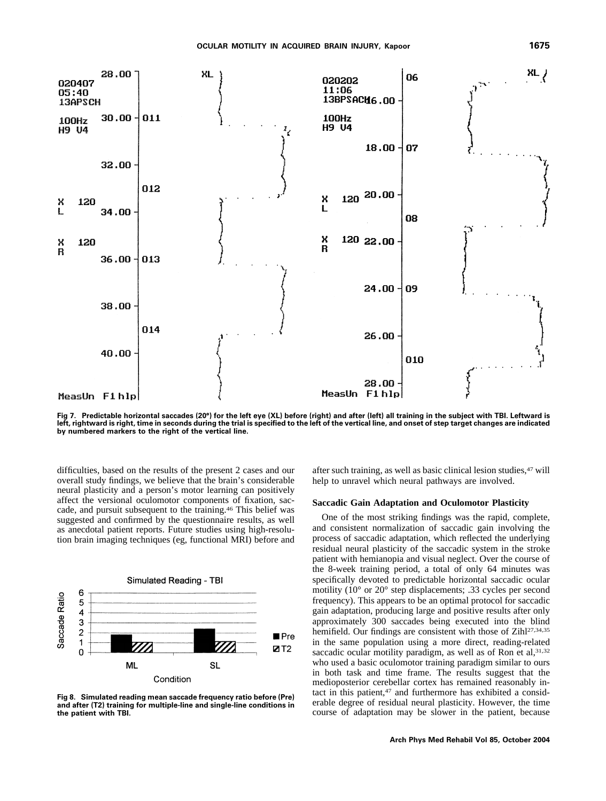

**Fig 7. Predictable horizontal saccades (20°) for the left eye (XL) before (right) and after (left) all training in the subject with TBI. Leftward is left, rightward is right, time in seconds during the trial is specified to the left of the vertical line, and onset of step target changes are indicated by numbered markers to the right of the vertical line.**

difficulties, based on the results of the present 2 cases and our overall study findings, we believe that the brain's considerable neural plasticity and a person's motor learning can positively affect the versional oculomotor components of fixation, saccade, and pursuit subsequent to the training.46 This belief was suggested and confirmed by the questionnaire results, as well as anecdotal patient reports. Future studies using high-resolution brain imaging techniques (eg, functional MRI) before and



**Fig 8. Simulated reading mean saccade frequency ratio before (Pre) and after (T2) training for multiple-line and single-line conditions in the patient with TBI.**

after such training, as well as basic clinical lesion studies,47 will help to unravel which neural pathways are involved.

# **Saccadic Gain Adaptation and Oculomotor Plasticity**

One of the most striking findings was the rapid, complete, and consistent normalization of saccadic gain involving the process of saccadic adaptation, which reflected the underlying residual neural plasticity of the saccadic system in the stroke patient with hemianopia and visual neglect. Over the course of the 8-week training period, a total of only 64 minutes was specifically devoted to predictable horizontal saccadic ocular motility (10° or 20° step displacements; .33 cycles per second frequency). This appears to be an optimal protocol for saccadic gain adaptation, producing large and positive results after only approximately 300 saccades being executed into the blind hemifield. Our findings are consistent with those of Zihl<sup>27,34,35</sup> in the same population using a more direct, reading-related saccadic ocular motility paradigm, as well as of Ron et al,  $31,32$ who used a basic oculomotor training paradigm similar to ours in both task and time frame. The results suggest that the medioposterior cerebellar cortex has remained reasonably intact in this patient,<sup>47</sup> and furthermore has exhibited a considerable degree of residual neural plasticity. However, the time course of adaptation may be slower in the patient, because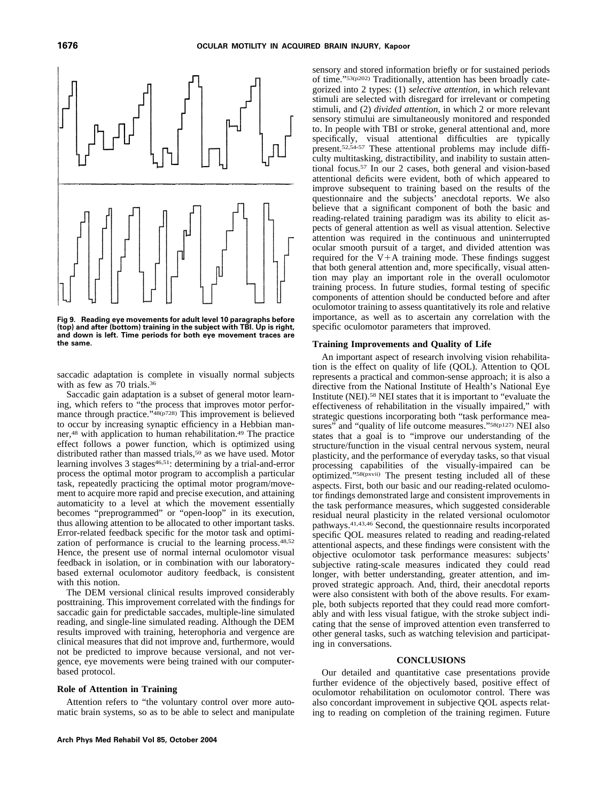

**Fig 9. Reading eye movements for adult level 10 paragraphs before (top) and after (bottom) training in the subject with TBI. Up is right, and down is left. Time periods for both eye movement traces are the same.**

saccadic adaptation is complete in visually normal subjects with as few as 70 trials.<sup>36</sup>

Saccadic gain adaptation is a subset of general motor learning, which refers to "the process that improves motor performance through practice."48(p728) This improvement is believed to occur by increasing synaptic efficiency in a Hebbian manner,<sup>48</sup> with application to human rehabilitation.<sup>49</sup> The practice effect follows a power function, which is optimized using distributed rather than massed trials,<sup>50</sup> as we have used. Motor learning involves 3 stages<sup>46,51</sup>: determining by a trial-and-error process the optimal motor program to accomplish a particular task, repeatedly practicing the optimal motor program/movement to acquire more rapid and precise execution, and attaining automaticity to a level at which the movement essentially becomes "preprogrammed" or "open-loop" in its execution, thus allowing attention to be allocated to other important tasks. Error-related feedback specific for the motor task and optimization of performance is crucial to the learning process.48,52 Hence, the present use of normal internal oculomotor visual feedback in isolation, or in combination with our laboratorybased external oculomotor auditory feedback, is consistent with this notion.

The DEM versional clinical results improved considerably posttraining. This improvement correlated with the findings for saccadic gain for predictable saccades, multiple-line simulated reading, and single-line simulated reading. Although the DEM results improved with training, heterophoria and vergence are clinical measures that did not improve and, furthermore, would not be predicted to improve because versional, and not vergence, eye movements were being trained with our computerbased protocol.

## **Role of Attention in Training**

Attention refers to "the voluntary control over more automatic brain systems, so as to be able to select and manipulate sensory and stored information briefly or for sustained periods of time."53(p202) Traditionally, attention has been broadly categorized into 2 types: (1) *selective attention*, in which relevant stimuli are selected with disregard for irrelevant or competing stimuli, and (2) *divided attention*, in which 2 or more relevant sensory stimului are simultaneously monitored and responded to. In people with TBI or stroke, general attentional and, more specifically, visual attentional difficulties are typically present.<sup>52,54-57</sup> These attentional problems may include difficulty multitasking, distractibility, and inability to sustain attentional focus.57 In our 2 cases, both general and vision-based attentional deficits were evident, both of which appeared to improve subsequent to training based on the results of the questionnaire and the subjects' anecdotal reports. We also believe that a significant component of both the basic and reading-related training paradigm was its ability to elicit aspects of general attention as well as visual attention. Selective attention was required in the continuous and uninterrupted ocular smooth pursuit of a target, and divided attention was required for the  $V+A$  training mode. These findings suggest that both general attention and, more specifically, visual attention may play an important role in the overall oculomotor training process. In future studies, formal testing of specific components of attention should be conducted before and after oculomotor training to assess quantitatively its role and relative importance, as well as to ascertain any correlation with the specific oculomotor parameters that improved.

## **Training Improvements and Quality of Life**

An important aspect of research involving vision rehabilitation is the effect on quality of life (QOL). Attention to QOL represents a practical and common-sense approach; it is also a directive from the National Institute of Health's National Eye Institute (NEI).58 NEI states that it is important to "evaluate the effectiveness of rehabilitation in the visually impaired," with strategic questions incorporating both "task performance measures" and "quality of life outcome measures."<sup>58(p127)</sup> NEI also states that a goal is to "improve our understanding of the structure/function in the visual central nervous system, neural plasticity, and the performance of everyday tasks, so that visual processing capabilities of the visually-impaired can be optimized."58(pxvii) The present testing included all of these aspects. First, both our basic and our reading-related oculomotor findings demonstrated large and consistent improvements in the task performance measures, which suggested considerable residual neural plasticity in the related versional oculomotor pathways.41,43,46 Second, the questionnaire results incorporated specific QOL measures related to reading and reading-related attentional aspects, and these findings were consistent with the objective oculomotor task performance measures: subjects' subjective rating-scale measures indicated they could read longer, with better understanding, greater attention, and improved strategic approach. And, third, their anecdotal reports were also consistent with both of the above results. For example, both subjects reported that they could read more comfortably and with less visual fatigue, with the stroke subject indicating that the sense of improved attention even transferred to other general tasks, such as watching television and participating in conversations.

#### **CONCLUSIONS**

Our detailed and quantitative case presentations provide further evidence of the objectively based, positive effect of oculomotor rehabilitation on oculomotor control. There was also concordant improvement in subjective QOL aspects relating to reading on completion of the training regimen. Future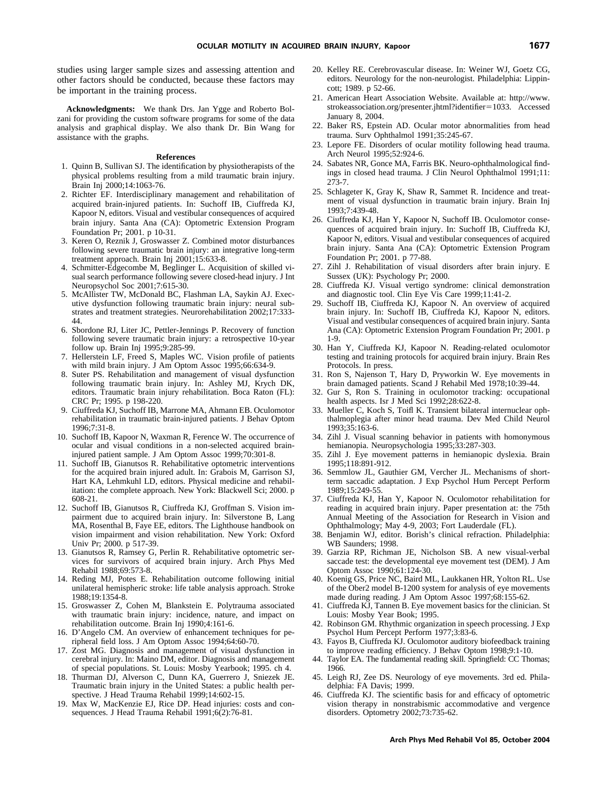studies using larger sample sizes and assessing attention and other factors should be conducted, because these factors may be important in the training process.

**Acknowledgments:** We thank Drs. Jan Ygge and Roberto Bolzani for providing the custom software programs for some of the data analysis and graphical display. We also thank Dr. Bin Wang for assistance with the graphs.

#### **References**

- 1. Quinn B, Sullivan SJ. The identification by physiotherapists of the physical problems resulting from a mild traumatic brain injury. Brain Inj 2000;14:1063-76.
- 2. Richter EF. Interdisciplinary management and rehabilitation of acquired brain-injured patients. In: Suchoff IB, Ciuffreda KJ, Kapoor N, editors. Visual and vestibular consequences of acquired brain injury. Santa Ana (CA): Optometric Extension Program Foundation Pr; 2001. p 10-31.
- 3. Keren O, Reznik J, Groswasser Z. Combined motor disturbances following severe traumatic brain injury: an integrative long-term treatment approach. Brain Inj 2001;15:633-8.
- 4. Schmitter-Edgecombe M, Beglinger L. Acquisition of skilled visual search performance following severe closed-head injury. J Int Neuropsychol Soc 2001;7:615-30.
- 5. McAllister TW, McDonald BC, Flashman LA, Saykin AJ. Executive dysfunction following traumatic brain injury: neural substrates and treatment strategies. Neurorehabilitation 2002;17:333- 44.
- 6. Sbordone RJ, Liter JC, Pettler-Jennings P. Recovery of function following severe traumatic brain injury: a retrospective 10-year follow up. Brain Inj 1995;9:285-99.
- 7. Hellerstein LF, Freed S, Maples WC. Vision profile of patients with mild brain injury. J Am Optom Assoc 1995;66:634-9.
- 8. Suter PS. Rehabilitation and management of visual dysfunction following traumatic brain injury. In: Ashley MJ, Krych DK, editors. Traumatic brain injury rehabilitation. Boca Raton (FL): CRC Pr; 1995. p 198-220.
- 9. Ciuffreda KJ, Suchoff IB, Marrone MA, Ahmann EB. Oculomotor rehabilitation in traumatic brain-injured patients. J Behav Optom 1996;7:31-8.
- 10. Suchoff IB, Kapoor N, Waxman R, Ference W. The occurrence of ocular and visual conditions in a non-selected acquired braininjured patient sample. J Am Optom Assoc 1999;70:301-8.
- 11. Suchoff IB, Gianutsos R. Rehabilitative optometric interventions for the acquired brain injured adult. In: Grabois M, Garrison SJ, Hart KA, Lehmkuhl LD, editors. Physical medicine and rehabilitation: the complete approach. New York: Blackwell Sci; 2000. p 608-21.
- 12. Suchoff IB, Gianutsos R, Ciuffreda KJ, Groffman S. Vision impairment due to acquired brain injury. In: Silverstone B, Lang MA, Rosenthal B, Faye EE, editors. The Lighthouse handbook on vision impairment and vision rehabilitation. New York: Oxford Univ Pr; 2000. p 517-39.
- 13. Gianutsos R, Ramsey G, Perlin R. Rehabilitative optometric services for survivors of acquired brain injury. Arch Phys Med Rehabil 1988;69:573-8.
- 14. Reding MJ, Potes E. Rehabilitation outcome following initial unilateral hemispheric stroke: life table analysis approach. Stroke 1988;19:1354-8.
- 15. Groswasser Z, Cohen M, Blankstein E. Polytrauma associated with traumatic brain injury: incidence, nature, and impact on rehabilitation outcome. Brain Inj 1990;4:161-6.
- 16. D'Angelo CM. An overview of enhancement techniques for peripheral field loss. J Am Optom Assoc 1994;64:60-70.
- 17. Zost MG. Diagnosis and management of visual dysfunction in cerebral injury. In: Maino DM, editor. Diagnosis and management of special populations. St. Louis: Mosby Yearbook; 1995. ch 4.
- 18. Thurman DJ, Alverson C, Dunn KA, Guerrero J, Sniezek JE. Traumatic brain injury in the United States: a public health perspective. J Head Trauma Rehabil 1999;14:602-15.
- 19. Max W, MacKenzie EJ, Rice DP. Head injuries: costs and consequences. J Head Trauma Rehabil 1991;6(2):76-81.
- 20. Kelley RE. Cerebrovascular disease. In: Weiner WJ, Goetz CG, editors. Neurology for the non-neurologist. Philadelphia: Lippincott; 1989. p 52-66.
- 21. American Heart Association Website. Available at: http://www. strokeassociation.org/presenter.jhtml?identifier=1033. Accessed January 8, 2004.
- 22. Baker RS, Epstein AD. Ocular motor abnormalities from head trauma. Surv Ophthalmol 1991;35:245-67.
- 23. Lepore FE. Disorders of ocular motility following head trauma. Arch Neurol 1995;52:924-6.
- 24. Sabates NR, Gonce MA, Farris BK. Neuro-ophthalmological findings in closed head trauma. J Clin Neurol Ophthalmol 1991;11: 273-7.
- 25. Schlageter K, Gray K, Shaw R, Sammet R. Incidence and treatment of visual dysfunction in traumatic brain injury. Brain Inj 1993;7:439-48.
- 26. Ciuffreda KJ, Han Y, Kapoor N, Suchoff IB. Oculomotor consequences of acquired brain injury. In: Suchoff IB, Ciuffreda KJ, Kapoor N, editors. Visual and vestibular consequences of acquired brain injury. Santa Ana (CA): Optometric Extension Program Foundation Pr; 2001. p 77-88.
- 27. Zihl J. Rehabilitation of visual disorders after brain injury. E Sussex (UK): Psychology Pr; 2000.
- 28. Ciuffreda KJ. Visual vertigo syndrome: clinical demonstration and diagnostic tool. Clin Eye Vis Care 1999;11:41-2.
- 29. Suchoff IB, Ciuffreda KJ, Kapoor N. An overview of acquired brain injury. In: Suchoff IB, Ciuffreda KJ, Kapoor N, editors. Visual and vestibular consequences of acquired brain injury. Santa Ana (CA): Optometric Extension Program Foundation Pr; 2001. p 1-9.
- 30. Han Y, Ciuffreda KJ, Kapoor N. Reading-related oculomotor testing and training protocols for acquired brain injury. Brain Res Protocols. In press.
- 31. Ron S, Najenson T, Hary D, Pryworkin W. Eye movements in brain damaged patients. Scand J Rehabil Med 1978;10:39-44.
- 32. Gur S, Ron S. Training in oculomotor tracking: occupational health aspects. Isr J Med Sci 1992;28:622-8.
- 33. Mueller C, Koch S, Toifl K. Transient bilateral internuclear ophthalmoplegia after minor head trauma. Dev Med Child Neurol 1993;35:163-6.
- 34. Zihl J. Visual scanning behavior in patients with homonymous hemianopia. Neuropsychologia 1995;33:287-303.
- 35. Zihl J. Eye movement patterns in hemianopic dyslexia. Brain 1995;118:891-912.
- 36. Semmlow JL, Gauthier GM, Vercher JL. Mechanisms of shortterm saccadic adaptation. J Exp Psychol Hum Percept Perform 1989;15:249-55.
- 37. Ciuffreda KJ, Han Y, Kapoor N. Oculomotor rehabilitation for reading in acquired brain injury. Paper presentation at: the 75th Annual Meeting of the Association for Research in Vision and Ophthalmology; May 4-9, 2003; Fort Lauderdale (FL).
- 38. Benjamin WJ, editor. Borish's clinical refraction. Philadelphia: WB Saunders; 1998.
- 39. Garzia RP, Richman JE, Nicholson SB. A new visual-verbal saccade test: the developmental eye movement test (DEM). J Am Optom Assoc 1990;61:124-30.
- 40. Koenig GS, Price NC, Baird ML, Laukkanen HR, Yolton RL. Use of the Ober2 model B-1200 system for analysis of eye movements made during reading. J Am Optom Assoc 1997;68:155-62.
- 41. Ciuffreda KJ, Tannen B. Eye movement basics for the clinician. St Louis: Mosby Year Book; 1995.
- 42. Robinson GM. Rhythmic organization in speech processing. J Exp Psychol Hum Percept Perform 1977;3:83-6.
- 43. Fayos B, Ciuffreda KJ. Oculomotor auditory biofeedback training to improve reading efficiency. J Behav Optom 1998;9:1-10.
- 44. Taylor EA. The fundamental reading skill. Springfield: CC Thomas; 1966.
- 45. Leigh RJ, Zee DS. Neurology of eye movements. 3rd ed. Philadelphia: FA Davis; 1999.
- 46. Ciuffreda KJ. The scientific basis for and efficacy of optometric vision therapy in nonstrabismic accommodative and vergence disorders. Optometry 2002;73:735-62.